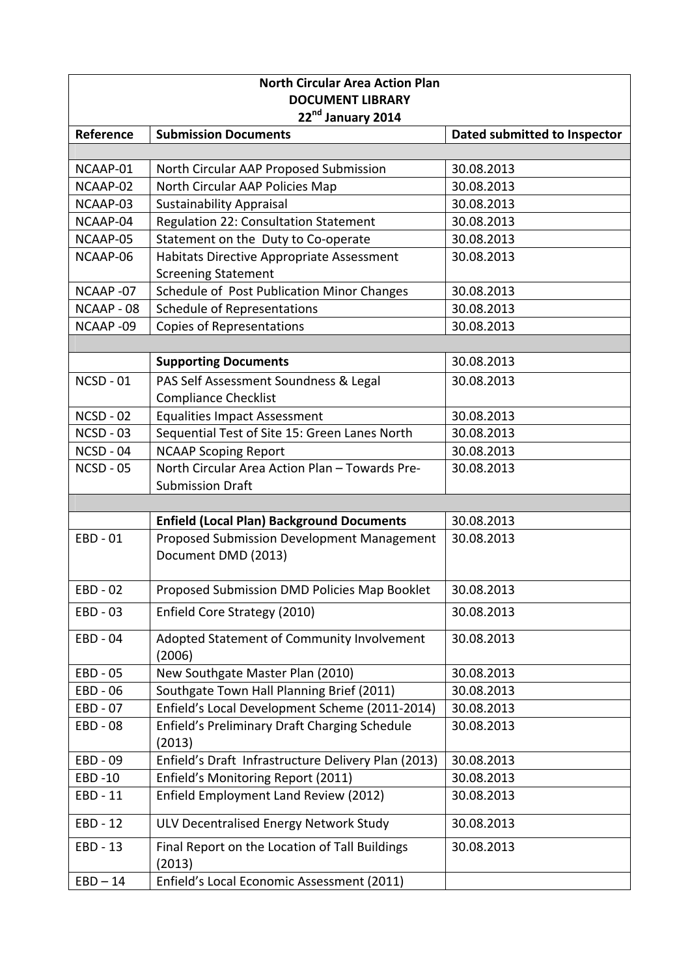| <b>North Circular Area Action Plan</b><br><b>DOCUMENT LIBRARY</b> |                                                                               |                              |  |
|-------------------------------------------------------------------|-------------------------------------------------------------------------------|------------------------------|--|
| 22nd January 2014                                                 |                                                                               |                              |  |
| Reference                                                         | <b>Submission Documents</b>                                                   | Dated submitted to Inspector |  |
|                                                                   |                                                                               |                              |  |
| NCAAP-01                                                          | North Circular AAP Proposed Submission                                        | 30.08.2013                   |  |
| NCAAP-02                                                          | North Circular AAP Policies Map                                               | 30.08.2013                   |  |
| NCAAP-03                                                          | <b>Sustainability Appraisal</b>                                               | 30.08.2013                   |  |
| NCAAP-04                                                          | Regulation 22: Consultation Statement                                         | 30.08.2013                   |  |
| NCAAP-05                                                          | Statement on the Duty to Co-operate                                           | 30.08.2013                   |  |
| NCAAP-06                                                          | Habitats Directive Appropriate Assessment                                     | 30.08.2013                   |  |
|                                                                   | <b>Screening Statement</b>                                                    |                              |  |
| NCAAP-07                                                          | Schedule of Post Publication Minor Changes                                    | 30.08.2013                   |  |
| NCAAP - 08                                                        | Schedule of Representations                                                   | 30.08.2013                   |  |
| NCAAP-09                                                          | <b>Copies of Representations</b>                                              | 30.08.2013                   |  |
|                                                                   |                                                                               |                              |  |
|                                                                   | <b>Supporting Documents</b>                                                   | 30.08.2013                   |  |
| $NCSD - 01$                                                       | PAS Self Assessment Soundness & Legal                                         | 30.08.2013                   |  |
|                                                                   | <b>Compliance Checklist</b>                                                   |                              |  |
| <b>NCSD - 02</b>                                                  | <b>Equalities Impact Assessment</b>                                           | 30.08.2013                   |  |
| $NCSD - 03$                                                       | Sequential Test of Site 15: Green Lanes North                                 | 30.08.2013                   |  |
| NCSD - 04<br>$NCSD - 05$                                          | <b>NCAAP Scoping Report</b><br>North Circular Area Action Plan - Towards Pre- | 30.08.2013                   |  |
|                                                                   | <b>Submission Draft</b>                                                       | 30.08.2013                   |  |
|                                                                   |                                                                               |                              |  |
|                                                                   | <b>Enfield (Local Plan) Background Documents</b>                              | 30.08.2013                   |  |
| EBD - 01                                                          | Proposed Submission Development Management                                    | 30.08.2013                   |  |
|                                                                   | Document DMD (2013)                                                           |                              |  |
|                                                                   |                                                                               |                              |  |
| EBD - 02                                                          | Proposed Submission DMD Policies Map Booklet                                  | 30.08.2013                   |  |
| EBD - 03                                                          | Enfield Core Strategy (2010)                                                  | 30.08.2013                   |  |
| EBD - 04                                                          | Adopted Statement of Community Involvement                                    | 30.08.2013                   |  |
|                                                                   | (2006)                                                                        |                              |  |
| EBD - 05                                                          | New Southgate Master Plan (2010)                                              | 30.08.2013                   |  |
| EBD - 06                                                          | Southgate Town Hall Planning Brief (2011)                                     | 30.08.2013                   |  |
| EBD - 07                                                          | Enfield's Local Development Scheme (2011-2014)                                | 30.08.2013                   |  |
| EBD - 08                                                          | Enfield's Preliminary Draft Charging Schedule                                 | 30.08.2013                   |  |
|                                                                   | (2013)                                                                        |                              |  |
| EBD - 09                                                          | Enfield's Draft Infrastructure Delivery Plan (2013)                           | 30.08.2013                   |  |
| EBD-10                                                            | Enfield's Monitoring Report (2011)                                            | 30.08.2013                   |  |
| EBD - 11                                                          | Enfield Employment Land Review (2012)                                         | 30.08.2013                   |  |
| EBD - 12                                                          | ULV Decentralised Energy Network Study                                        | 30.08.2013                   |  |
| EBD - 13                                                          | Final Report on the Location of Tall Buildings<br>(2013)                      | 30.08.2013                   |  |
| $EBD - 14$                                                        | Enfield's Local Economic Assessment (2011)                                    |                              |  |